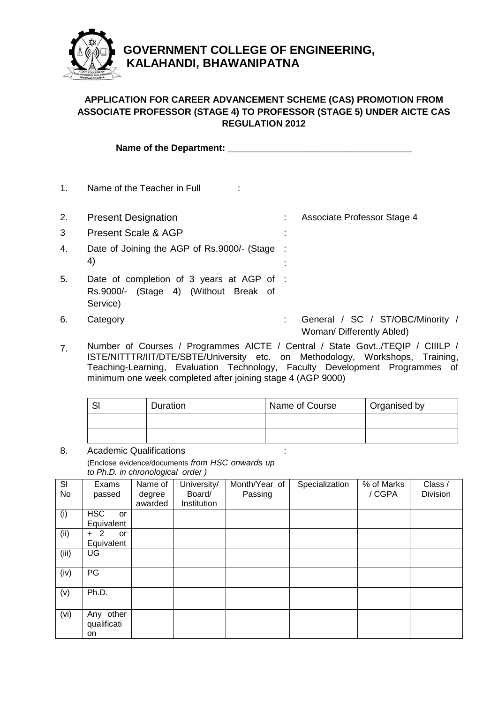

## **GOVERNMENT COLLEGE OF ENGINEERING, KALAHANDI, BHAWANIPATNA**

## **APPLICATION FOR CAREER ADVANCEMENT SCHEME (CAS) PROMOTION FROM ASSOCIATE PROFESSOR (STAGE 4) TO PROFESSOR (STAGE 5) UNDER AICTE CAS REGULATION 2012**

**Name of the Department: \_\_\_\_\_\_\_\_\_\_\_\_\_\_\_\_\_\_\_\_\_\_\_\_\_\_\_\_\_\_\_\_\_\_\_\_**

1. Name of the Teacher in Full :

2. Present Designation **12. Comparison** : Associate Professor Stage 4 3 Present Scale & AGP : 4. Date of Joining the AGP of Rs.9000/- (Stage : 4) : 5. Date of completion of 3 years at AGP of : Rs.9000/- (Stage 4) (Without Break of Service) 6. Category **: General / SC / ST/OBC/Minority /** Woman/ Differently Abled)

7. Number of Courses / Programmes AICTE / Central / State Govt../TEQIP / CIIILP / ISTE/NITTTR/IIT/DTE/SBTE/University etc. on Methodology, Workshops, Training, Teaching-Learning, Evaluation Technology, Faculty Development Programmes of minimum one week completed after joining stage 4 (AGP 9000)

| c | Duration | Name of Course | Organised by |
|---|----------|----------------|--------------|
|   |          |                |              |
|   |          |                |              |

8. Academic Qualifications (Enclose evidence/documents *from HSC onwards up to Ph.D. in chronological order )* :

| SI    | Exams                   | Name of | University/ | Month/Year of | Specialization | % of Marks | Class /  |
|-------|-------------------------|---------|-------------|---------------|----------------|------------|----------|
| No    | passed                  | degree  | Board/      | Passing       |                | /CGPA      | Division |
|       |                         | awarded | Institution |               |                |            |          |
| (i)   | <b>HSC</b><br><b>or</b> |         |             |               |                |            |          |
|       | Equivalent              |         |             |               |                |            |          |
| (ii)  | 2<br><b>or</b><br>$+$   |         |             |               |                |            |          |
|       | Equivalent              |         |             |               |                |            |          |
| (iii) | UG                      |         |             |               |                |            |          |
|       |                         |         |             |               |                |            |          |
| (iv)  | PG                      |         |             |               |                |            |          |
|       |                         |         |             |               |                |            |          |
| (v)   | Ph.D.                   |         |             |               |                |            |          |
|       |                         |         |             |               |                |            |          |
| (vi)  | Any other               |         |             |               |                |            |          |
|       | qualificati             |         |             |               |                |            |          |
|       | on                      |         |             |               |                |            |          |
|       |                         |         |             |               |                |            |          |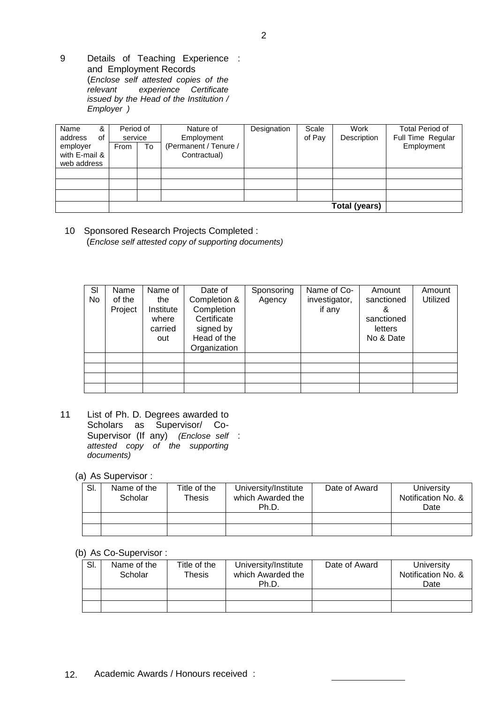9 Details of Teaching Experience : and Employment Records (*Enclose self attested copies of the*   $experience$  Certificate *issued by the Head of the Institution / Employer )*

| Name<br>&<br>address<br>οf | Period of<br>service |      | Nature of<br>Employment               | Designation | Scale<br>of Pay | Work<br>Description | <b>Total Period of</b><br>Full Time Regular |
|----------------------------|----------------------|------|---------------------------------------|-------------|-----------------|---------------------|---------------------------------------------|
| employer<br>with E-mail &  | From                 | ' To | (Permanent / Tenure /<br>Contractual) |             |                 |                     | Employment                                  |
| web address                |                      |      |                                       |             |                 |                     |                                             |
|                            |                      |      |                                       |             |                 |                     |                                             |
|                            |                      |      |                                       |             |                 |                     |                                             |
|                            |                      |      |                                       |             |                 |                     |                                             |
|                            | Total (years)        |      |                                       |             |                 |                     |                                             |

10 Sponsored Research Projects Completed : (*Enclose self attested copy of supporting documents)*

| SI<br>No | Name<br>of the<br>Project | Name of<br>the<br>Institute<br>where<br>carried<br>out | Date of<br>Completion &<br>Completion<br>Certificate<br>signed by<br>Head of the<br>Organization | Sponsoring<br>Agency | Name of Co-<br>investigator,<br>if any | Amount<br>sanctioned<br>ă<br>sanctioned<br>letters<br>No & Date | Amount<br>Utilized |
|----------|---------------------------|--------------------------------------------------------|--------------------------------------------------------------------------------------------------|----------------------|----------------------------------------|-----------------------------------------------------------------|--------------------|
|          |                           |                                                        |                                                                                                  |                      |                                        |                                                                 |                    |
|          |                           |                                                        |                                                                                                  |                      |                                        |                                                                 |                    |
|          |                           |                                                        |                                                                                                  |                      |                                        |                                                                 |                    |
|          |                           |                                                        |                                                                                                  |                      |                                        |                                                                 |                    |

11 List of Ph. D. Degrees awarded to Scholars as Supervisor/ Co-Supervisor (If any) *(Enclose self*  : *attested copy of the supporting documents)*

(a) As Supervisor :

| SI. | Name of the<br>Scholar | Title of the<br>Thesis | University/Institute<br>which Awarded the<br>Ph.D. | Date of Award | University<br>Notification No. &<br>Date |
|-----|------------------------|------------------------|----------------------------------------------------|---------------|------------------------------------------|
|     |                        |                        |                                                    |               |                                          |
|     |                        |                        |                                                    |               |                                          |

(b) As Co-Supervisor :

| SI. | Name of the<br>Scholar | Title of the<br>Thesis | University/Institute<br>which Awarded the<br>Ph.D. | Date of Award | University<br>Notification No. &<br>Date |
|-----|------------------------|------------------------|----------------------------------------------------|---------------|------------------------------------------|
|     |                        |                        |                                                    |               |                                          |
|     |                        |                        |                                                    |               |                                          |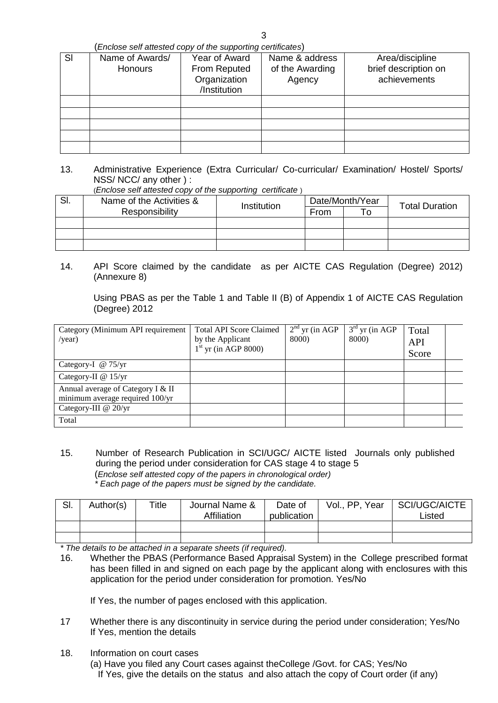(*Enclose self attested copy of the supporting certificates*)

| SI | Name of Awards/ | Year of Award | Name & address  | Area/discipline      |
|----|-----------------|---------------|-----------------|----------------------|
|    |                 |               |                 |                      |
|    | <b>Honours</b>  | From Reputed  | of the Awarding | brief description on |
|    |                 | Organization  | Agency          | achievements         |
|    |                 | /Institution  |                 |                      |
|    |                 |               |                 |                      |
|    |                 |               |                 |                      |
|    |                 |               |                 |                      |
|    |                 |               |                 |                      |
|    |                 |               |                 |                      |

13. Administrative Experience (Extra Curricular/ Co-curricular/ Examination/ Hostel/ Sports/ NSS/ NCC/ any other ) :

(*Enclose self attested copy of the supporting certificate* )

| SI. | Name of the Activities &      |  |      | Date/Month/Year | <b>Total Duration</b> |  |
|-----|-------------------------------|--|------|-----------------|-----------------------|--|
|     | Institution<br>Responsibility |  | From | To              |                       |  |
|     |                               |  |      |                 |                       |  |
|     |                               |  |      |                 |                       |  |
|     |                               |  |      |                 |                       |  |

14. API Score claimed by the candidate as per AICTE CAS Regulation (Degree) 2012) (Annexure 8)

Using PBAS as per the Table 1 and Table II (B) of Appendix 1 of AICTE CAS Regulation (Degree) 2012

| Category (Minimum API requirement<br>/year)                          | <b>Total API Score Claimed</b><br>by the Applicant<br>$1st$ yr (in AGP 8000) | $2nd$ yr (in AGP<br>8000) | $3rd$ yr (in AGP<br>8000) | Total<br><b>API</b><br>Score |  |
|----------------------------------------------------------------------|------------------------------------------------------------------------------|---------------------------|---------------------------|------------------------------|--|
| Category-I $\omega$ 75/yr                                            |                                                                              |                           |                           |                              |  |
| Category-II $@ 15/yr$                                                |                                                                              |                           |                           |                              |  |
| Annual average of Category I & II<br>minimum average required 100/yr |                                                                              |                           |                           |                              |  |
| Category-III @ 20/yr                                                 |                                                                              |                           |                           |                              |  |
| Total                                                                |                                                                              |                           |                           |                              |  |

15. Number of Research Publication in SCI/UGC/ AICTE listed Journals only published during the period under consideration for CAS stage 4 to stage 5 (*Enclose self attested copy of the papers in chronological order) \* Each page of the papers must be signed by the candidate.*

| SI. | Author(s) | Title | Journal Name &<br><b>Affiliation</b> | Date of<br>publication | Vol., PP, Year | SCI/UGC/AICTE<br>∟isted |
|-----|-----------|-------|--------------------------------------|------------------------|----------------|-------------------------|
|     |           |       |                                      |                        |                |                         |
|     |           |       |                                      |                        |                |                         |

*\* The details to be attached in a separate sheets (if required).*

16. Whether the PBAS (Performance Based Appraisal System) in the College prescribed format has been filled in and signed on each page by the applicant along with enclosures with this application for the period under consideration for promotion. Yes/No

If Yes, the number of pages enclosed with this application.

- 17 Whether there is any discontinuity in service during the period under consideration; Yes/No If Yes, mention the details
- 18. Information on court cases (a) Have you filed any Court cases against theCollege /Govt. for CAS; Yes/No
	- If Yes, give the details on the status and also attach the copy of Court order (if any)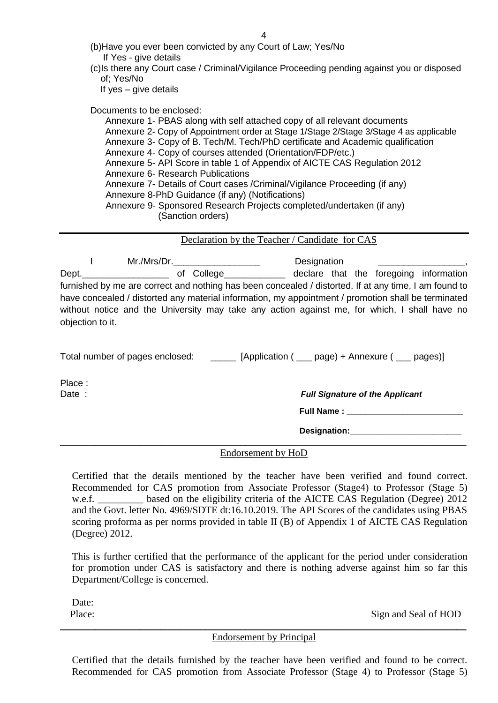4

| (b) Have you ever been convicted by any Court of Law; Yes/No |  |
|--------------------------------------------------------------|--|
| If Yes - give details                                        |  |

(c)Is there any Court case / Criminal/Vigilance Proceeding pending against you or disposed of; Yes/No

If yes – give details

Documents to be enclosed:

Annexure 1- PBAS along with self attached copy of all relevant documents Annexure 2- Copy of Appointment order at Stage 1/Stage 2/Stage 3/Stage 4 as applicable Annexure 3- Copy of B. Tech/M. Tech/PhD certificate and Academic qualification Annexure 4- Copy of courses attended (Orientation/FDP/etc.) Annexure 5- API Score in table 1 of Appendix of AICTE CAS Regulation 2012 Annexure 6- Research Publications Annexure 7- Details of Court cases /Criminal/Vigilance Proceeding (if any) Annexure 8-PhD Guidance (if any) (Notifications) Annexure 9- Sponsored Research Projects completed/undertaken (if any) (Sanction orders)

Declaration by the Teacher / Candidate for CAS

I Mr./Mrs/Dr.\_\_\_\_\_\_\_\_\_\_\_\_\_\_\_\_\_ Designation \_\_\_\_\_\_\_\_\_\_\_\_\_\_\_\_\_, Dept.  $\rho$ <sub>1</sub> and  $\rho$  of College  $\rho$ <sub>1</sub> declare that the foregoing information furnished by me are correct and nothing has been concealed / distorted. If at any time, I am found to have concealed / distorted any material information, my appointment / promotion shall be terminated without notice and the University may take any action against me, for which, I shall have no objection to it.

Total number of pages enclosed: \_\_\_\_\_\_\_ [Application ( \_\_\_ page) + Annexure ( \_\_\_ pages)]

Place :

Date : **Full Signature of the Applicant** 

**Full Name : \_\_\_\_\_\_\_\_\_\_\_\_\_\_\_\_\_\_\_\_\_\_\_\_\_**

**Designation:\_\_\_\_\_\_\_\_\_\_\_\_\_\_\_\_\_\_\_\_\_\_\_\_**

\_\_\_\_\_\_\_\_\_\_\_\_\_\_\_\_\_\_\_\_\_\_\_\_\_\_\_\_\_\_\_\_\_\_\_\_\_\_\_\_\_\_\_\_\_\_\_\_\_\_\_\_\_\_\_\_\_\_\_\_\_\_\_\_\_\_\_\_\_\_\_\_\_\_\_\_\_\_\_\_\_ Endorsement by HoD

Certified that the details mentioned by the teacher have been verified and found correct. Recommended for CAS promotion from Associate Professor (Stage4) to Professor (Stage 5) w.e.f. based on the eligibility criteria of the AICTE CAS Regulation (Degree) 2012 and the Govt. letter No. 4969/SDTE dt:16.10.2019. The API Scores of the candidates using PBAS scoring proforma as per norms provided in table II (B) of Appendix 1 of AICTE CAS Regulation (Degree) 2012.

This is further certified that the performance of the applicant for the period under consideration for promotion under CAS is satisfactory and there is nothing adverse against him so far this Department/College is concerned.

Date:

Place: Sign and Seal of HOD

\_\_\_\_\_\_\_\_\_\_\_\_\_\_\_\_\_\_\_\_\_\_\_\_\_\_\_\_\_\_\_\_\_\_\_\_\_\_\_\_\_\_\_\_\_\_\_\_\_\_\_\_\_\_\_\_\_\_\_\_\_\_\_\_\_\_\_\_\_\_\_\_\_\_\_\_\_\_\_\_\_ Endorsement by Principal

Certified that the details furnished by the teacher have been verified and found to be correct. Recommended for CAS promotion from Associate Professor (Stage 4) to Professor (Stage 5)